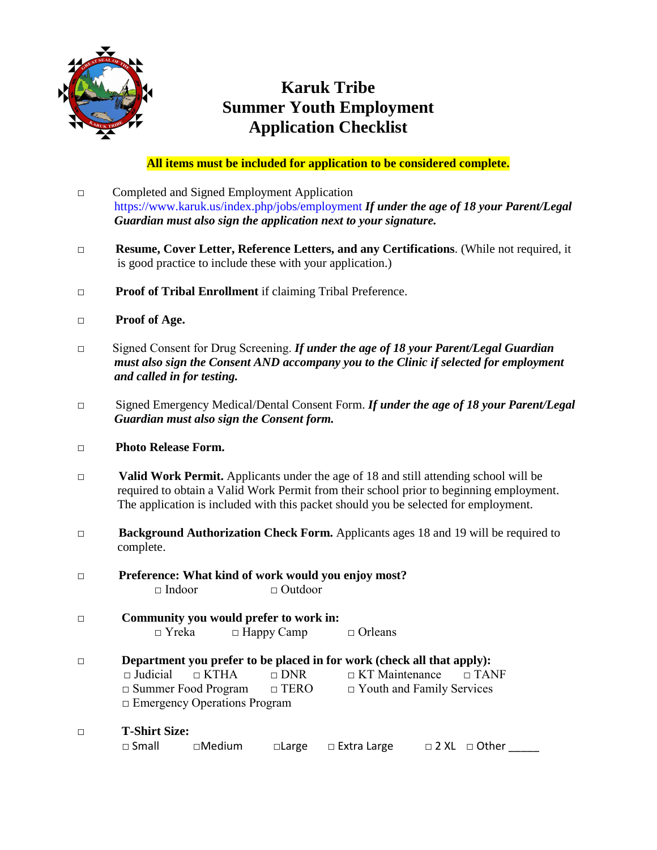

# **Karuk Tribe Summer Youth Employment Application Checklist**

**All items must be included for application to be considered complete.**

- □ Completed and Signed Employment Application https://www.karuk.us/index.php/jobs/employment *If under the age of 18 your Parent/Legal Guardian must also sign the application next to your signature.*
- □ **Resume, Cover Letter, Reference Letters, and any Certifications**. (While not required, it is good practice to include these with your application.)
- □ **Proof of Tribal Enrollment** if claiming Tribal Preference.
- **□ Proof of Age.**
- □ Signed Consent for Drug Screening. *If under the age of 18 your Parent/Legal Guardian must also sign the Consent AND accompany you to the Clinic if selected for employment and called in for testing.*
- □ Signed Emergency Medical/Dental Consent Form. *If under the age of 18 your Parent/Legal Guardian must also sign the Consent form.*
- **□ Photo Release Form.**
- **□ Valid Work Permit.** Applicants under the age of 18 and still attending school will be required to obtain a Valid Work Permit from their school prior to beginning employment. The application is included with this packet should you be selected for employment.
- **□ Background Authorization Check Form.** Applicants ages 18 and 19 will be required to complete.
- □ **Preference: What kind of work would you enjoy most?** □ Indoor □ □ Outdoor
- □ **Community you would prefer to work in:** □ Yreka □ Happy Camp □ Orleans
- □ **Department you prefer to be placed in for work (check all that apply):**<br>□ Judicial □ KTHA □ DNR □ KT Maintenance □ TAI □ Judicial □ KTHA □ DNR □ KT Maintenance □ TANF □ Summer Food Program □ TERO □ Youth and Family Services □ Emergency Operations Program
- **□ T-Shirt Size:** □ Small □ Medium □ Large □ Extra Large □ 2 XL □ Other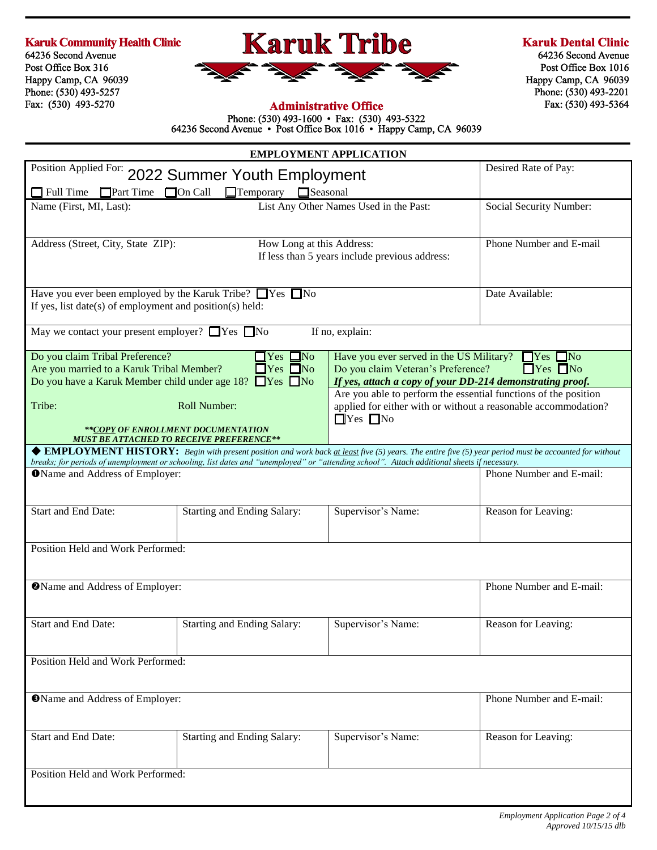#### **Karuk Community Health Clinic**

64236 Second Avenue Post Office Box 316 Happy Camp, CA 96039 Phone: (530) 493-5257 Fax: (530) 493-5270



#### **Karuk Dental Clinic**

64236 Second Avenue Post Office Box 1016 Happy Camp, CA 96039 Phone: (530) 493-2201 Fax: (530) 493-5364

### **Administrative Office**

Phone: (530) 493-1600 • Fax: (530) 493-5322<br>64236 Second Avenue • Post Office Box 1016 • Happy Camp, CA 96039

| <b>EMPLOYMENT APPLICATION</b>                                                                                                                                                                                                                                                                                                                                              |                                                                             |                                                                                                                                                           |                          |  |
|----------------------------------------------------------------------------------------------------------------------------------------------------------------------------------------------------------------------------------------------------------------------------------------------------------------------------------------------------------------------------|-----------------------------------------------------------------------------|-----------------------------------------------------------------------------------------------------------------------------------------------------------|--------------------------|--|
| Position Applied For: 2022 Summer Youth Employment                                                                                                                                                                                                                                                                                                                         | Desired Rate of Pay:                                                        |                                                                                                                                                           |                          |  |
| $\Box$ Full Time<br>$\Box$ Part Time                                                                                                                                                                                                                                                                                                                                       | $\Box$ On Call<br>$\Box$ Temporary $\Box$ Seasonal                          |                                                                                                                                                           |                          |  |
| Name (First, MI, Last):                                                                                                                                                                                                                                                                                                                                                    | List Any Other Names Used in the Past:<br>Social Security Number:           |                                                                                                                                                           |                          |  |
| Address (Street, City, State ZIP):                                                                                                                                                                                                                                                                                                                                         | How Long at this Address:<br>If less than 5 years include previous address: | Phone Number and E-mail                                                                                                                                   |                          |  |
| Have you ever been employed by the Karuk Tribe? $\Box$ Yes $\Box$ No<br>Date Available:<br>If yes, list date(s) of employment and position(s) held:                                                                                                                                                                                                                        |                                                                             |                                                                                                                                                           |                          |  |
| May we contact your present employer? $\Box$ Yes $\Box$ No                                                                                                                                                                                                                                                                                                                 |                                                                             | If no, explain:                                                                                                                                           |                          |  |
| $\Box$ Yes $\Box$ No<br>Do you claim Tribal Preference?<br>Have you ever served in the US Military? $\Box$ Yes $\Box$ No<br>Are you married to a Karuk Tribal Member?<br>$\Box$ Yes $\Box$ No<br>Do you claim Veteran's Preference?<br>Do you have a Karuk Member child under age $18$ ? $\Box$ Yes $\Box$ No<br>If yes, attach a copy of your DD-214 demonstrating proof. |                                                                             |                                                                                                                                                           | $\Box$ Yes $\Box$ No     |  |
| Tribe:                                                                                                                                                                                                                                                                                                                                                                     | Roll Number:<br>**COPY OF ENROLLMENT DOCUMENTATION                          | Are you able to perform the essential functions of the position<br>applied for either with or without a reasonable accommodation?<br>$\Box$ Yes $\Box$ No |                          |  |
| <b>MUST BE ATTACHED TO RECEIVE PREFERENCE**</b>                                                                                                                                                                                                                                                                                                                            |                                                                             | ◆ EMPLOYMENT HISTORY: Begin with present position and work back at least five (5) years. The entire five (5) year period must be accounted for without    |                          |  |
|                                                                                                                                                                                                                                                                                                                                                                            |                                                                             | breaks; for periods of unemployment or schooling, list dates and "unemployed" or "attending school". Attach additional sheets if necessary.               |                          |  |
| <b>O</b> Name and Address of Employer:                                                                                                                                                                                                                                                                                                                                     |                                                                             |                                                                                                                                                           | Phone Number and E-mail: |  |
| Start and End Date:                                                                                                                                                                                                                                                                                                                                                        | Starting and Ending Salary:                                                 | Supervisor's Name:                                                                                                                                        | Reason for Leaving:      |  |
| Position Held and Work Performed:                                                                                                                                                                                                                                                                                                                                          |                                                                             |                                                                                                                                                           |                          |  |
|                                                                                                                                                                                                                                                                                                                                                                            |                                                                             |                                                                                                                                                           |                          |  |
| <b>@Name and Address of Employer:</b>                                                                                                                                                                                                                                                                                                                                      |                                                                             |                                                                                                                                                           | Phone Number and E-mail: |  |
| Start and End Date:                                                                                                                                                                                                                                                                                                                                                        | Starting and Ending Salary:                                                 | Supervisor's Name:                                                                                                                                        | Reason for Leaving:      |  |
| Position Held and Work Performed:                                                                                                                                                                                                                                                                                                                                          |                                                                             |                                                                                                                                                           |                          |  |
| <b>OName and Address of Employer:</b>                                                                                                                                                                                                                                                                                                                                      |                                                                             |                                                                                                                                                           | Phone Number and E-mail: |  |
| Start and End Date:                                                                                                                                                                                                                                                                                                                                                        | Starting and Ending Salary:                                                 | Supervisor's Name:                                                                                                                                        | Reason for Leaving:      |  |
| Position Held and Work Performed:                                                                                                                                                                                                                                                                                                                                          |                                                                             |                                                                                                                                                           |                          |  |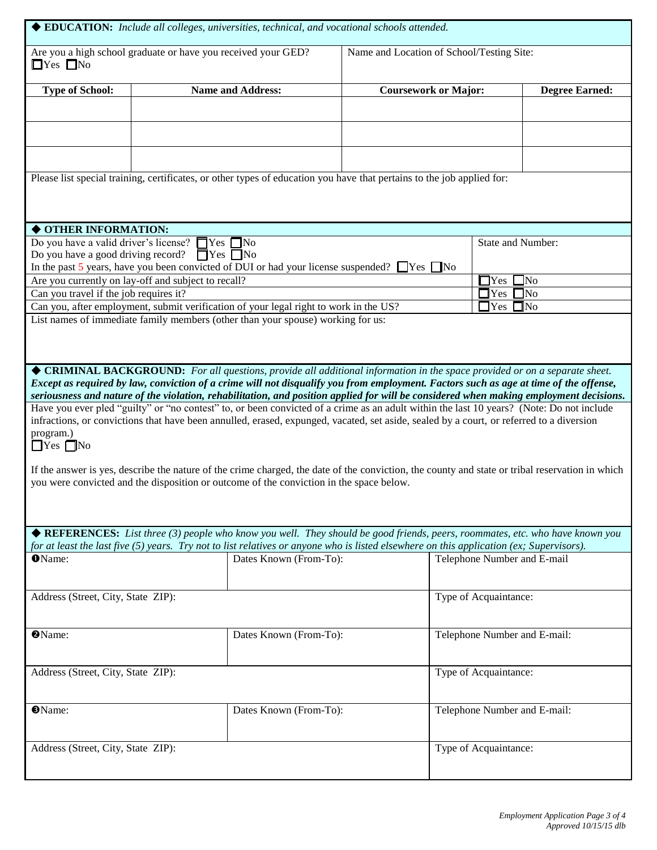| ◆ EDUCATION: Include all colleges, universities, technical, and vocational schools attended.                                                                                                                                               |  |                                                                                                                                                                                                                                                                                 |                             |                              |                       |
|--------------------------------------------------------------------------------------------------------------------------------------------------------------------------------------------------------------------------------------------|--|---------------------------------------------------------------------------------------------------------------------------------------------------------------------------------------------------------------------------------------------------------------------------------|-----------------------------|------------------------------|-----------------------|
| Are you a high school graduate or have you received your GED?<br>$\Box$ Yes $\Box$ No                                                                                                                                                      |  | Name and Location of School/Testing Site:                                                                                                                                                                                                                                       |                             |                              |                       |
| <b>Type of School:</b>                                                                                                                                                                                                                     |  | <b>Name and Address:</b>                                                                                                                                                                                                                                                        | <b>Coursework or Major:</b> |                              | <b>Degree Earned:</b> |
|                                                                                                                                                                                                                                            |  |                                                                                                                                                                                                                                                                                 |                             |                              |                       |
|                                                                                                                                                                                                                                            |  |                                                                                                                                                                                                                                                                                 |                             |                              |                       |
|                                                                                                                                                                                                                                            |  | Please list special training, certificates, or other types of education you have that pertains to the job applied for:                                                                                                                                                          |                             |                              |                       |
|                                                                                                                                                                                                                                            |  |                                                                                                                                                                                                                                                                                 |                             |                              |                       |
| ◆ OTHER INFORMATION:                                                                                                                                                                                                                       |  |                                                                                                                                                                                                                                                                                 |                             |                              |                       |
| Do you have a valid driver's license? $\Box$ Yes $\Box$ No<br>Do you have a good driving record? $\Box$ Yes $\Box$ No                                                                                                                      |  | In the past 5 years, have you been convicted of DUI or had your license suspended? $\Box$ Yes $\Box$ No                                                                                                                                                                         |                             | State and Number:            |                       |
| Are you currently on lay-off and subject to recall?                                                                                                                                                                                        |  |                                                                                                                                                                                                                                                                                 |                             | $\sqcap$ Yes                 | $\neg$ No             |
| Can you travel if the job requires it?                                                                                                                                                                                                     |  |                                                                                                                                                                                                                                                                                 |                             | $\Box$ Yes $\Box$ No         |                       |
|                                                                                                                                                                                                                                            |  |                                                                                                                                                                                                                                                                                 |                             | $\Box$ Yes $\Box$ No         |                       |
|                                                                                                                                                                                                                                            |  | Can you, after employment, submit verification of your legal right to work in the US?                                                                                                                                                                                           |                             |                              |                       |
|                                                                                                                                                                                                                                            |  | List names of immediate family members (other than your spouse) working for us:                                                                                                                                                                                                 |                             |                              |                       |
|                                                                                                                                                                                                                                            |  | ◆ CRIMINAL BACKGROUND: For all questions, provide all additional information in the space provided or on a separate sheet.                                                                                                                                                      |                             |                              |                       |
|                                                                                                                                                                                                                                            |  | Except as required by law, conviction of a crime will not disqualify you from employment. Factors such as age at time of the offense,<br>seriousness and nature of the violation, rehabilitation, and position applied for will be considered when making employment decisions. |                             |                              |                       |
|                                                                                                                                                                                                                                            |  | Have you ever pled "guilty" or "no contest" to, or been convicted of a crime as an adult within the last 10 years? (Note: Do not include                                                                                                                                        |                             |                              |                       |
|                                                                                                                                                                                                                                            |  | infractions, or convictions that have been annulled, erased, expunged, vacated, set aside, sealed by a court, or referred to a diversion                                                                                                                                        |                             |                              |                       |
| program.)<br>$\Box$ Yes $\Box$ No                                                                                                                                                                                                          |  |                                                                                                                                                                                                                                                                                 |                             |                              |                       |
| If the answer is yes, describe the nature of the crime charged, the date of the conviction, the county and state or tribal reservation in which<br>you were convicted and the disposition or outcome of the conviction in the space below. |  |                                                                                                                                                                                                                                                                                 |                             |                              |                       |
|                                                                                                                                                                                                                                            |  |                                                                                                                                                                                                                                                                                 |                             |                              |                       |
| ◆ REFERENCES: List three (3) people who know you well. They should be good friends, peers, roommates, etc. who have known you                                                                                                              |  |                                                                                                                                                                                                                                                                                 |                             |                              |                       |
|                                                                                                                                                                                                                                            |  | for at least the last five (5) years. Try not to list relatives or anyone who is listed elsewhere on this application (ex; Supervisors).                                                                                                                                        |                             |                              |                       |
| <b>O</b> Name:                                                                                                                                                                                                                             |  | Dates Known (From-To):                                                                                                                                                                                                                                                          |                             | Telephone Number and E-mail  |                       |
| Address (Street, City, State ZIP):                                                                                                                                                                                                         |  |                                                                                                                                                                                                                                                                                 |                             | Type of Acquaintance:        |                       |
|                                                                                                                                                                                                                                            |  |                                                                                                                                                                                                                                                                                 |                             |                              |                       |
| <b>O</b> Name:                                                                                                                                                                                                                             |  | Dates Known (From-To):                                                                                                                                                                                                                                                          |                             | Telephone Number and E-mail: |                       |
| Address (Street, City, State ZIP):                                                                                                                                                                                                         |  |                                                                                                                                                                                                                                                                                 |                             | Type of Acquaintance:        |                       |
|                                                                                                                                                                                                                                            |  |                                                                                                                                                                                                                                                                                 |                             |                              |                       |
| <b>O</b> Name:                                                                                                                                                                                                                             |  | Dates Known (From-To):                                                                                                                                                                                                                                                          |                             | Telephone Number and E-mail: |                       |
| Address (Street, City, State ZIP):                                                                                                                                                                                                         |  |                                                                                                                                                                                                                                                                                 |                             | Type of Acquaintance:        |                       |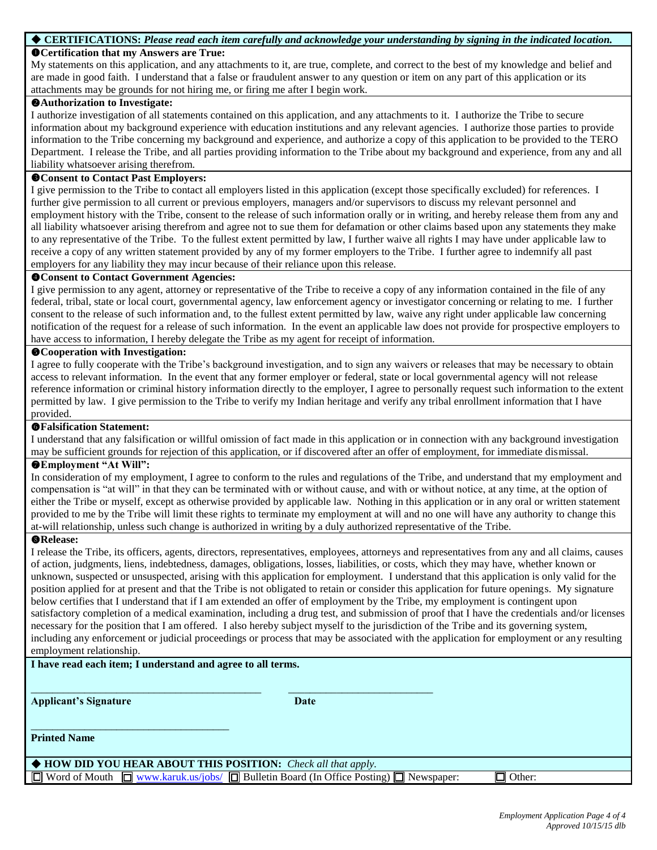#### **CERTIFICATIONS:** *Please read each item carefully and acknowledge your understanding by signing in the indicated location.*

#### **Certification that my Answers are True:**

My statements on this application, and any attachments to it, are true, complete, and correct to the best of my knowledge and belief and are made in good faith. I understand that a false or fraudulent answer to any question or item on any part of this application or its attachments may be grounds for not hiring me, or firing me after I begin work.

#### **Authorization to Investigate:**

I authorize investigation of all statements contained on this application, and any attachments to it. I authorize the Tribe to secure information about my background experience with education institutions and any relevant agencies. I authorize those parties to provide information to the Tribe concerning my background and experience, and authorize a copy of this application to be provided to the TERO Department. I release the Tribe, and all parties providing information to the Tribe about my background and experience, from any and all liability whatsoever arising therefrom.

#### **Consent to Contact Past Employers:**

I give permission to the Tribe to contact all employers listed in this application (except those specifically excluded) for references. I further give permission to all current or previous employers, managers and/or supervisors to discuss my relevant personnel and employment history with the Tribe, consent to the release of such information orally or in writing, and hereby release them from any and all liability whatsoever arising therefrom and agree not to sue them for defamation or other claims based upon any statements they make to any representative of the Tribe. To the fullest extent permitted by law, I further waive all rights I may have under applicable law to receive a copy of any written statement provided by any of my former employers to the Tribe. I further agree to indemnify all past employers for any liability they may incur because of their reliance upon this release.

#### **Consent to Contact Government Agencies:**

I give permission to any agent, attorney or representative of the Tribe to receive a copy of any information contained in the file of any federal, tribal, state or local court, governmental agency, law enforcement agency or investigator concerning or relating to me. I further consent to the release of such information and, to the fullest extent permitted by law, waive any right under applicable law concerning notification of the request for a release of such information. In the event an applicable law does not provide for prospective employers to have access to information, I hereby delegate the Tribe as my agent for receipt of information.

#### **Cooperation with Investigation:**

I agree to fully cooperate with the Tribe's background investigation, and to sign any waivers or releases that may be necessary to obtain access to relevant information. In the event that any former employer or federal, state or local governmental agency will not release reference information or criminal history information directly to the employer, I agree to personally request such information to the extent permitted by law. I give permission to the Tribe to verify my Indian heritage and verify any tribal enrollment information that I have provided.

#### **Falsification Statement:**

I understand that any falsification or willful omission of fact made in this application or in connection with any background investigation may be sufficient grounds for rejection of this application, or if discovered after an offer of employment, for immediate dismissal.

#### **Employment "At Will":**

In consideration of my employment, I agree to conform to the rules and regulations of the Tribe, and understand that my employment and compensation is "at will" in that they can be terminated with or without cause, and with or without notice, at any time, at the option of either the Tribe or myself, except as otherwise provided by applicable law. Nothing in this application or in any oral or written statement provided to me by the Tribe will limit these rights to terminate my employment at will and no one will have any authority to change this at-will relationship, unless such change is authorized in writing by a duly authorized representative of the Tribe.

#### **Release:**

I release the Tribe, its officers, agents, directors, representatives, employees, attorneys and representatives from any and all claims, causes of action, judgments, liens, indebtedness, damages, obligations, losses, liabilities, or costs, which they may have, whether known or unknown, suspected or unsuspected, arising with this application for employment. I understand that this application is only valid for the position applied for at present and that the Tribe is not obligated to retain or consider this application for future openings. My signature below certifies that I understand that if I am extended an offer of employment by the Tribe, my employment is contingent upon satisfactory completion of a medical examination, including a drug test, and submission of proof that I have the credentials and/or licenses necessary for the position that I am offered. I also hereby subject myself to the jurisdiction of the Tribe and its governing system, including any enforcement or judicial proceedings or process that may be associated with the application for employment or any resulting employment relationship.

#### **I have read each item; I understand and agree to all terms.**

\_\_\_\_\_\_\_\_\_\_\_\_\_\_\_\_\_\_\_\_\_\_\_\_\_\_\_\_\_\_\_\_\_\_\_\_\_

**Applicant's Signature Date** 

**Printed Name**

 **HOW DID YOU HEAR ABOUT THIS POSITION:** *Check all that apply.*  $\Box$  Word of Mouth  $\Box$  [www.karuk.us/jobs/](http://www.karuk.us/jobs/)  $\Box$  Bulletin Board (In Office Posting)  $\Box$  Newspaper:  $\Box$  Other:

 $\_$  , and the set of the set of the set of the set of the set of the set of the set of the set of the set of the set of the set of the set of the set of the set of the set of the set of the set of the set of the set of th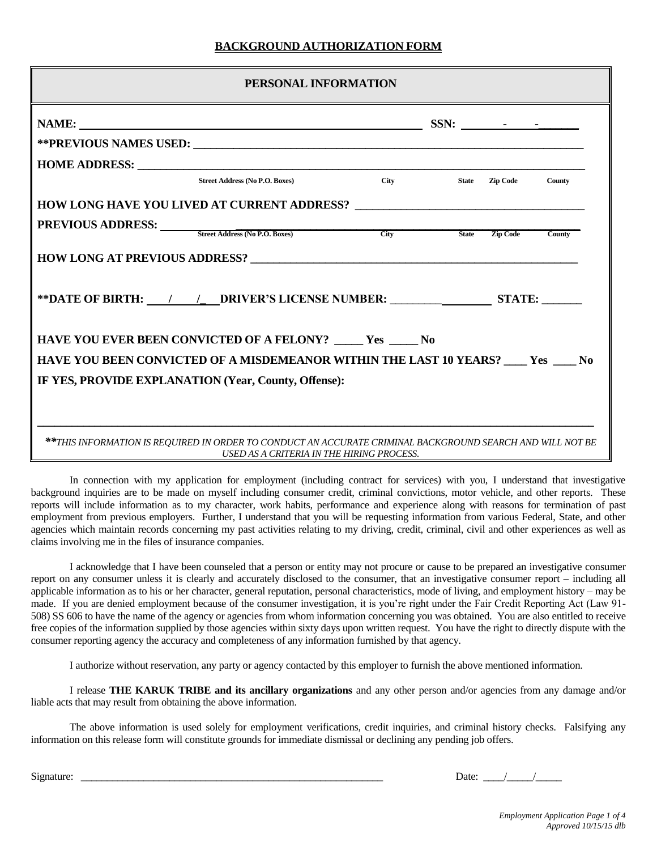#### **BACKGROUND AUTHORIZATION FORM**

| PERSONAL INFORMATION                                                                                      |  |                            |  |  |
|-----------------------------------------------------------------------------------------------------------|--|----------------------------|--|--|
|                                                                                                           |  |                            |  |  |
|                                                                                                           |  |                            |  |  |
|                                                                                                           |  |                            |  |  |
| <b>Street Address (No P.O. Boxes)</b>                                                                     |  | City State Zip Code County |  |  |
|                                                                                                           |  |                            |  |  |
| <b>PREVIOUS ADDRESS:</b> Street Address (No P.O. Boxes) City                                              |  | State Zip Code County      |  |  |
|                                                                                                           |  |                            |  |  |
|                                                                                                           |  |                            |  |  |
| <b>HAVE YOU EVER BEEN CONVICTED OF A FELONY? _____ Yes _____ No</b>                                       |  |                            |  |  |
| HAVE YOU BEEN CONVICTED OF A MISDEMEANOR WITHIN THE LAST 10 YEARS? ____ Yes ____ No                       |  |                            |  |  |
| IF YES, PROVIDE EXPLANATION (Year, County, Offense):                                                      |  |                            |  |  |
| **THIS INFORMATION IS REQUIRED IN ORDER TO CONDUCT AN ACCURATE CRIMINAL BACKGROUND SEARCH AND WILL NOT BE |  |                            |  |  |

In connection with my application for employment (including contract for services) with you, I understand that investigative background inquiries are to be made on myself including consumer credit, criminal convictions, motor vehicle, and other reports. These reports will include information as to my character, work habits, performance and experience along with reasons for termination of past employment from previous employers. Further, I understand that you will be requesting information from various Federal, State, and other agencies which maintain records concerning my past activities relating to my driving, credit, criminal, civil and other experiences as well as claims involving me in the files of insurance companies.

I acknowledge that I have been counseled that a person or entity may not procure or cause to be prepared an investigative consumer report on any consumer unless it is clearly and accurately disclosed to the consumer, that an investigative consumer report – including all applicable information as to his or her character, general reputation, personal characteristics, mode of living, and employment history – may be made. If you are denied employment because of the consumer investigation, it is you're right under the Fair Credit Reporting Act (Law 91- 508) SS 606 to have the name of the agency or agencies from whom information concerning you was obtained. You are also entitled to receive free copies of the information supplied by those agencies within sixty days upon written request. You have the right to directly dispute with the consumer reporting agency the accuracy and completeness of any information furnished by that agency.

I authorize without reservation, any party or agency contacted by this employer to furnish the above mentioned information.

I release **THE KARUK TRIBE and its ancillary organizations** and any other person and/or agencies from any damage and/or liable acts that may result from obtaining the above information.

The above information is used solely for employment verifications, credit inquiries, and criminal history checks. Falsifying any information on this release form will constitute grounds for immediate dismissal or declining any pending job offers.

Signature: \_\_\_\_\_\_\_\_\_\_\_\_\_\_\_\_\_\_\_\_\_\_\_\_\_\_\_\_\_\_\_\_\_\_\_\_\_\_\_\_\_\_\_\_\_\_\_\_\_\_\_\_\_\_\_\_\_\_ Date: \_\_\_\_/\_\_\_\_\_/\_\_\_\_\_

*Employment Application Page 1 of 4 Approved 10/15/15 dlb*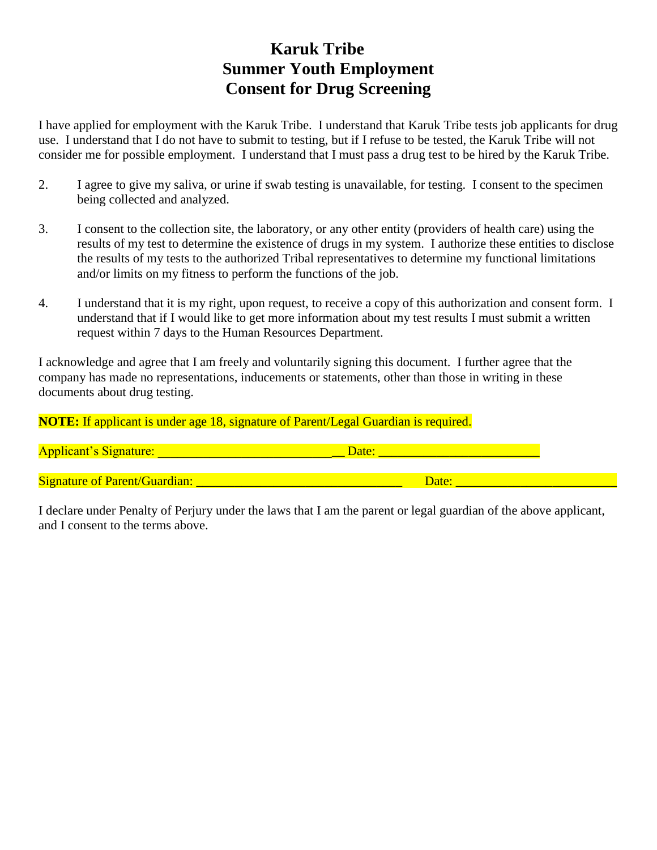## **Karuk Tribe Summer Youth Employment Consent for Drug Screening**

I have applied for employment with the Karuk Tribe. I understand that Karuk Tribe tests job applicants for drug use. I understand that I do not have to submit to testing, but if I refuse to be tested, the Karuk Tribe will not consider me for possible employment. I understand that I must pass a drug test to be hired by the Karuk Tribe.

- 2. I agree to give my saliva, or urine if swab testing is unavailable, for testing. I consent to the specimen being collected and analyzed.
- 3. I consent to the collection site, the laboratory, or any other entity (providers of health care) using the results of my test to determine the existence of drugs in my system. I authorize these entities to disclose the results of my tests to the authorized Tribal representatives to determine my functional limitations and/or limits on my fitness to perform the functions of the job.
- 4. I understand that it is my right, upon request, to receive a copy of this authorization and consent form. I understand that if I would like to get more information about my test results I must submit a written request within 7 days to the Human Resources Department.

I acknowledge and agree that I am freely and voluntarily signing this document. I further agree that the company has made no representations, inducements or statements, other than those in writing in these documents about drug testing.

**NOTE:** If applicant is under age 18, signature of Parent/Legal Guardian is required.

| <b>Applicant's Signature:</b>        |  |
|--------------------------------------|--|
| <b>Signature of Parent/Guardian:</b> |  |

I declare under Penalty of Perjury under the laws that I am the parent or legal guardian of the above applicant, and I consent to the terms above.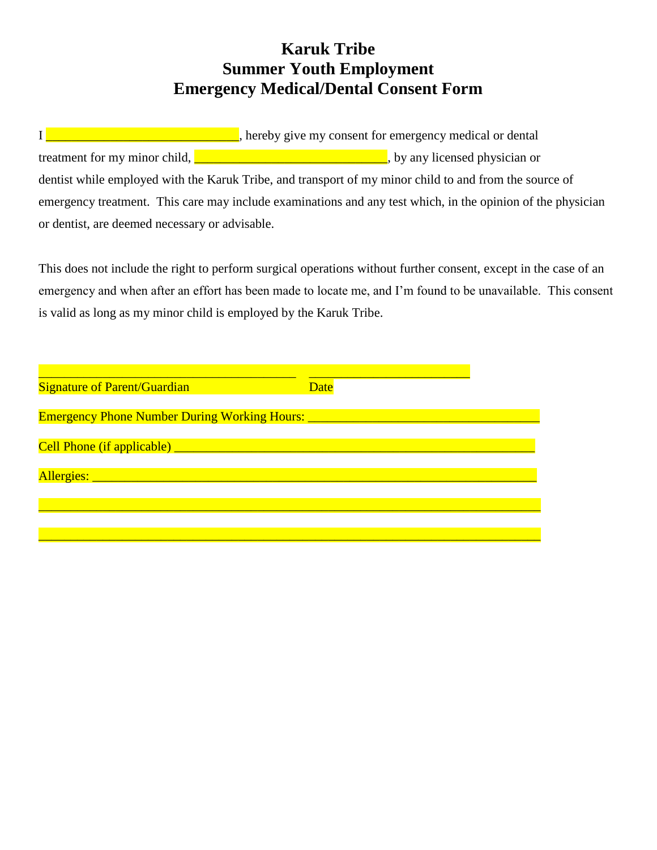## **Karuk Tribe Summer Youth Employment Emergency Medical/Dental Consent Form**

I **EXECUTE:** The end of the end of the end of the end of the end of the end of the end of the end of the end of the end of the end of the end of the end of the end of the end of the end of the end of the end of the end of treatment for my minor child, **\_\_\_\_\_\_\_\_\_\_\_\_\_\_\_\_\_\_\_\_\_\_\_\_\_\_\_\_\_\_\_**, by any licensed physician or dentist while employed with the Karuk Tribe, and transport of my minor child to and from the source of emergency treatment. This care may include examinations and any test which, in the opinion of the physician or dentist, are deemed necessary or advisable.

This does not include the right to perform surgical operations without further consent, except in the case of an emergency and when after an effort has been made to locate me, and I'm found to be unavailable. This consent is valid as long as my minor child is employed by the Karuk Tribe.

| <b>Signature of Parent/Guardian</b>                                                     | <b>Date</b> |  |
|-----------------------------------------------------------------------------------------|-------------|--|
|                                                                                         |             |  |
| <b>Emergency Phone Number During Working Hours: ___________________________________</b> |             |  |
|                                                                                         |             |  |
|                                                                                         |             |  |
| Allergies: National Allergies:                                                          |             |  |
|                                                                                         |             |  |
|                                                                                         |             |  |
|                                                                                         |             |  |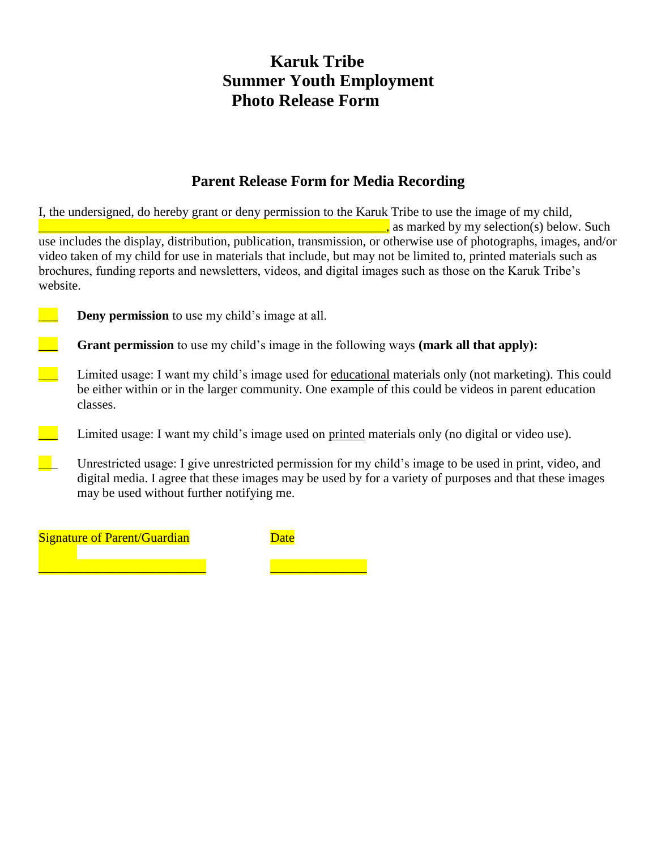### **Karuk Tribe Summer Youth Employment Photo Release Form**

### **Parent Release Form for Media Recording**

I, the undersigned, do hereby grant or deny permission to the Karuk Tribe to use the image of my child,  $\Box$ , as marked by my selection(s) below. Such use includes the display, distribution, publication, transmission, or otherwise use of photographs, images, and/or video taken of my child for use in materials that include, but may not be limited to, printed materials such as brochures, funding reports and newsletters, videos, and digital images such as those on the Karuk Tribe's website. **Deny permission** to use my child's image at all.

**Grant permission** to use my child's image in the following ways (**mark all that apply**):

- \_\_\_ Limited usage: I want my child's image used for educational materials only (not marketing). This could be either within or in the larger community. One example of this could be videos in parent education classes.
- <sup>1</sup> Limited usage: I want my child's image used on printed materials only (no digital or video use).
- \_\_\_ Unrestricted usage: I give unrestricted permission for my child's image to be used in print, video, and digital media. I agree that these images may be used by for a variety of purposes and that these images may be used without further notifying me.

**Signature of Parent/Guardian** Date